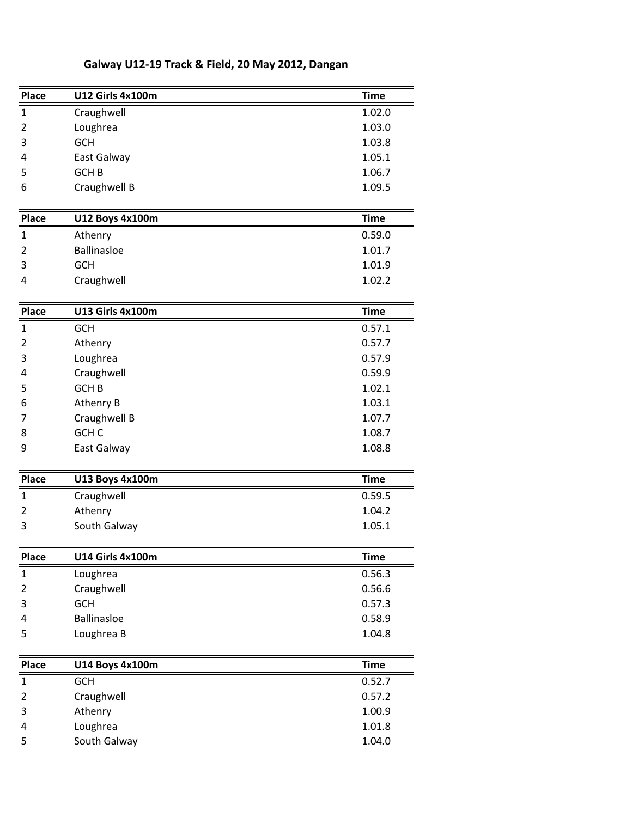| <b>Place</b>   | <b>U12 Girls 4x100m</b> | <b>Time</b> |
|----------------|-------------------------|-------------|
| 1              | Craughwell              | 1.02.0      |
| 2              | Loughrea                | 1.03.0      |
| 3              | <b>GCH</b>              | 1.03.8      |
| 4              | East Galway             | 1.05.1      |
| 5              | GCH <sub>B</sub>        | 1.06.7      |
| 6              | Craughwell B            | 1.09.5      |
| <b>Place</b>   | <b>U12 Boys 4x100m</b>  | <b>Time</b> |
| 1              | Athenry                 | 0.59.0      |
| 2              | <b>Ballinasloe</b>      | 1.01.7      |
| 3              | <b>GCH</b>              | 1.01.9      |
| 4              | Craughwell              | 1.02.2      |
| Place          | <b>U13 Girls 4x100m</b> | <b>Time</b> |
| $\mathbf{1}$   | <b>GCH</b>              | 0.57.1      |
| 2              | Athenry                 | 0.57.7      |
| 3              | Loughrea                | 0.57.9      |
| 4              | Craughwell              | 0.59.9      |
| 5              | <b>GCHB</b>             | 1.02.1      |
| 6              | Athenry B               | 1.03.1      |
| 7              | Craughwell B            | 1.07.7      |
| 8              | GCH <sub>C</sub>        | 1.08.7      |
| 9              | East Galway             | 1.08.8      |
| <b>Place</b>   | <b>U13 Boys 4x100m</b>  | <b>Time</b> |
| 1              | Craughwell              | 0.59.5      |
| 2              | Athenry                 | 1.04.2      |
| 3              | South Galway            | 1.05.1      |
| <b>Place</b>   | <b>U14 Girls 4x100m</b> | <b>Time</b> |
| $\mathbf{1}$   | Loughrea                | 0.56.3      |
| 2              | Craughwell              | 0.56.6      |
| 3              | <b>GCH</b>              | 0.57.3      |
| 4              | <b>Ballinasloe</b>      | 0.58.9      |
| 5              | Loughrea B              | 1.04.8      |
| <b>Place</b>   | <b>U14 Boys 4x100m</b>  | <b>Time</b> |
| $\mathbf{1}$   | <b>GCH</b>              | 0.52.7      |
| $\overline{2}$ | Craughwell              | 0.57.2      |
| 3              | Athenry                 | 1.00.9      |
| 4              | Loughrea                | 1.01.8      |
| 5              | South Galway            | 1.04.0      |
|                |                         |             |

## Galway U12-19 Track & Field, 20 May 2012, Dangan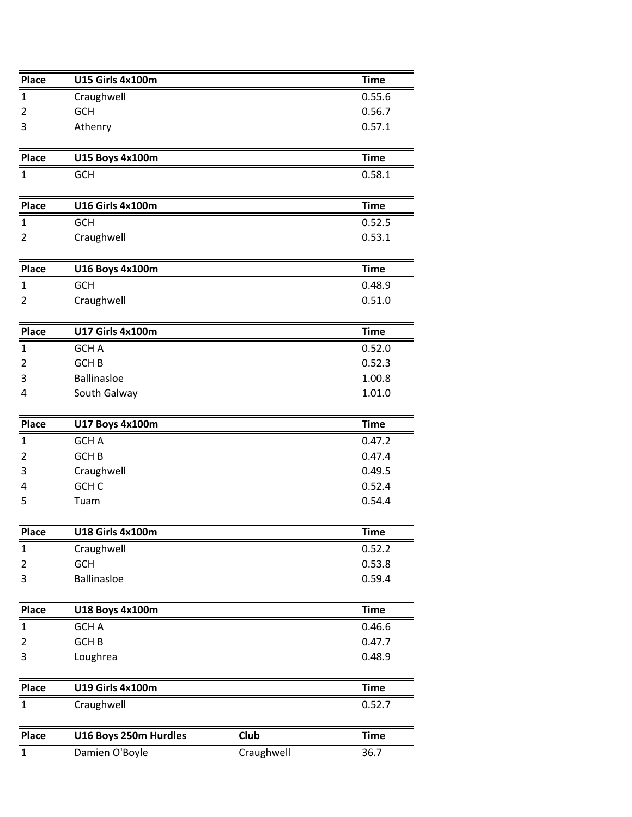| <b>Place</b>                        | <b>U15 Girls 4x100m</b> |      | <b>Time</b> |
|-------------------------------------|-------------------------|------|-------------|
| $\mathbf{1}$                        | Craughwell              |      | 0.55.6      |
| 2                                   | <b>GCH</b>              |      | 0.56.7      |
| 3                                   | Athenry                 |      | 0.57.1      |
| <b>Place</b>                        | <b>U15 Boys 4x100m</b>  |      | <b>Time</b> |
| $\mathbf{1}$                        | <b>GCH</b>              |      | 0.58.1      |
| <b>Place</b>                        | <b>U16 Girls 4x100m</b> |      | <b>Time</b> |
| 1                                   | <b>GCH</b>              |      | 0.52.5      |
| 2                                   | Craughwell              |      | 0.53.1      |
| <b>Place</b>                        | <b>U16 Boys 4x100m</b>  |      | <b>Time</b> |
| $\mathbf{1}$                        | <b>GCH</b>              |      | 0.48.9      |
| 2                                   | Craughwell              |      | 0.51.0      |
| <b>Place</b>                        | <b>U17 Girls 4x100m</b> |      | <b>Time</b> |
| $\mathbf{1}$                        | GCH A                   |      | 0.52.0      |
| 2                                   | GCH <sub>B</sub>        |      | 0.52.3      |
| 3                                   | <b>Ballinasloe</b>      |      | 1.00.8      |
| 4                                   | South Galway            |      | 1.01.0      |
| Place                               | <b>U17 Boys 4x100m</b>  |      | <b>Time</b> |
| $\mathbf{1}$                        | <b>GCH A</b>            |      | 0.47.2      |
| 2                                   | GCH <sub>B</sub>        |      | 0.47.4      |
| 3                                   | Craughwell              |      | 0.49.5      |
| 4                                   | GCH <sub>C</sub>        |      | 0.52.4      |
|                                     | Tuam                    |      |             |
|                                     |                         |      | 0.54.4      |
|                                     | <b>U18 Girls 4x100m</b> |      | Time        |
| 5<br><b>Place</b>                   | Craughwell              |      | 0.52.2      |
| 2                                   | GCH                     |      | 0.53.8      |
|                                     | <b>Ballinasloe</b>      |      | 0.59.4      |
| 3                                   | U18 Boys 4x100m         |      | <b>Time</b> |
|                                     | <b>GCH A</b>            |      | 0.46.6      |
| 2                                   | GCH <sub>B</sub>        |      | 0.47.7      |
| 3                                   | Loughrea                |      | 0.48.9      |
| $\mathbf{1}$<br>Place<br>1<br>Place | <b>U19 Girls 4x100m</b> |      | <b>Time</b> |
| $\mathbf{1}$                        | Craughwell              |      | 0.52.7      |
| <b>Place</b>                        | U16 Boys 250m Hurdles   | Club | <b>Time</b> |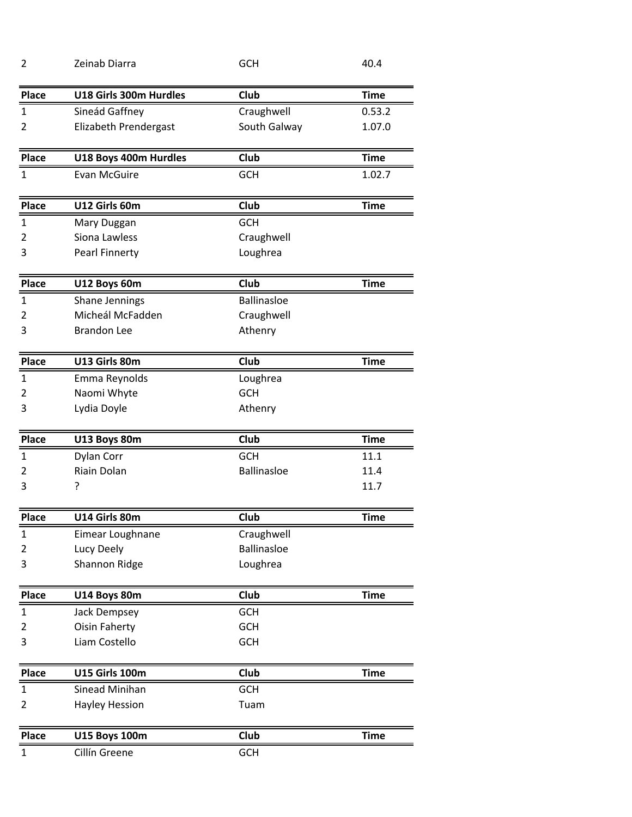| $\overline{2}$ | Zeinab Diarra          | <b>GCH</b>         | 40.4        |
|----------------|------------------------|--------------------|-------------|
| <b>Place</b>   | U18 Girls 300m Hurdles | Club               | <b>Time</b> |
| $\mathbf{1}$   | Sineád Gaffney         | Craughwell         | 0.53.2      |
| 2              | Elizabeth Prendergast  | South Galway       | 1.07.0      |
| <b>Place</b>   | U18 Boys 400m Hurdles  | Club               | <b>Time</b> |
| $\mathbf{1}$   | Evan McGuire           | <b>GCH</b>         | 1.02.7      |
| <b>Place</b>   | U12 Girls 60m          | <b>Club</b>        | <b>Time</b> |
| $\mathbf{1}$   | Mary Duggan            | <b>GCH</b>         |             |
| 2              | Siona Lawless          | Craughwell         |             |
| 3              | <b>Pearl Finnerty</b>  | Loughrea           |             |
| Place          | U12 Boys 60m           | Club               | <b>Time</b> |
| $\mathbf{1}$   | Shane Jennings         | <b>Ballinasloe</b> |             |
| 2              | Micheál McFadden       | Craughwell         |             |
| 3              | <b>Brandon Lee</b>     | Athenry            |             |
| <b>Place</b>   | U13 Girls 80m          | Club               | <b>Time</b> |
| $\mathbf{1}$   | Emma Reynolds          | Loughrea           |             |
| 2              | Naomi Whyte            | <b>GCH</b>         |             |
| 3              | Lydia Doyle            | Athenry            |             |
| Place          | U13 Boys 80m           | Club               | <b>Time</b> |
| $\mathbf{1}$   | Dylan Corr             | <b>GCH</b>         | 11.1        |
| 2              | <b>Riain Dolan</b>     | <b>Ballinasloe</b> | 11.4        |
| 3              | ?                      |                    | 11.7        |
| Place          | U14 Girls 80m          | Club               | Time        |
| $\mathbf{1}$   | Eimear Loughnane       | Craughwell         |             |
| 2              | Lucy Deely             | <b>Ballinasloe</b> |             |
| 3              | Shannon Ridge          | Loughrea           |             |
| Place          | U14 Boys 80m           | Club               | <b>Time</b> |
| $\mathbf{1}$   | Jack Dempsey           | <b>GCH</b>         |             |
| 2              | <b>Oisin Faherty</b>   | <b>GCH</b>         |             |
| 3              | Liam Costello          | GCH                |             |
| <b>Place</b>   | <b>U15 Girls 100m</b>  | Club               | <b>Time</b> |
| 1              | Sinead Minihan         | <b>GCH</b>         |             |
| 2              | <b>Hayley Hession</b>  | Tuam               |             |
| Place          | <b>U15 Boys 100m</b>   | Club               | <b>Time</b> |
| $\mathbf{1}$   | Cillín Greene          | GCH                |             |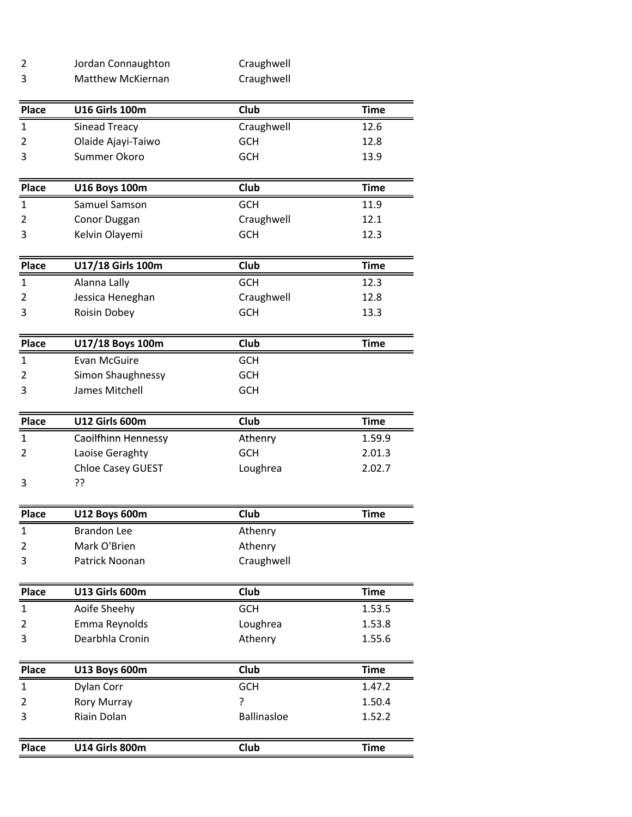| Jordan Connaughton | Craughwell |
|--------------------|------------|
| Matthew McKiernan  | Craughwell |

| Craughwell<br><b>Sinead Treacy</b><br>1<br>Olaide Ajayi-Taiwo<br><b>GCH</b><br>2<br>Summer Okoro<br>GCH<br>3<br>Place<br>Club<br><b>U16 Boys 100m</b><br>Samuel Samson<br><b>GCH</b><br>1<br>Craughwell<br>Conor Duggan<br>2<br>Kelvin Olayemi<br><b>GCH</b><br>3 | 12.6<br>12.8<br>13.9<br><b>Time</b> |
|-------------------------------------------------------------------------------------------------------------------------------------------------------------------------------------------------------------------------------------------------------------------|-------------------------------------|
|                                                                                                                                                                                                                                                                   |                                     |
|                                                                                                                                                                                                                                                                   |                                     |
|                                                                                                                                                                                                                                                                   |                                     |
|                                                                                                                                                                                                                                                                   |                                     |
|                                                                                                                                                                                                                                                                   | 11.9                                |
|                                                                                                                                                                                                                                                                   | 12.1                                |
|                                                                                                                                                                                                                                                                   | 12.3                                |
| Club<br><b>Place</b><br>U17/18 Girls 100m                                                                                                                                                                                                                         | <b>Time</b>                         |
| <b>GCH</b><br>Alanna Lally<br>1                                                                                                                                                                                                                                   | 12.3                                |
| Jessica Heneghan<br>Craughwell<br>2                                                                                                                                                                                                                               | 12.8                                |
| <b>GCH</b><br>3<br>Roisin Dobey                                                                                                                                                                                                                                   | 13.3                                |
| Club<br><b>Place</b><br>U17/18 Boys 100m                                                                                                                                                                                                                          | <b>Time</b>                         |
| <b>GCH</b><br>$\mathbf{1}$<br><b>Evan McGuire</b>                                                                                                                                                                                                                 |                                     |
| Simon Shaughnessy<br><b>GCH</b><br>2                                                                                                                                                                                                                              |                                     |
| GCH<br>James Mitchell<br>3                                                                                                                                                                                                                                        |                                     |
| U12 Girls 600m<br>Club<br>Place                                                                                                                                                                                                                                   | <b>Time</b>                         |
| Caoilfhinn Hennessy<br>Athenry<br>1                                                                                                                                                                                                                               | 1.59.9                              |
| <b>GCH</b><br>Laoise Geraghty<br>2                                                                                                                                                                                                                                | 2.01.3                              |
| Chloe Casey GUEST<br>Loughrea<br>??<br>3                                                                                                                                                                                                                          | 2.02.7                              |
|                                                                                                                                                                                                                                                                   |                                     |
| Club<br><b>Place</b><br><b>U12 Boys 600m</b>                                                                                                                                                                                                                      | <b>Time</b>                         |
| <b>Brandon Lee</b><br>$\mathbf{1}$<br>Athenry                                                                                                                                                                                                                     |                                     |
| Mark O'Brien<br>Athenry<br>2                                                                                                                                                                                                                                      |                                     |
| Patrick Noonan<br>Craughwell<br>3                                                                                                                                                                                                                                 |                                     |
| U13 Girls 600m<br>Club<br>Place                                                                                                                                                                                                                                   | <b>Time</b>                         |
| GCH<br>Aoife Sheehy<br>$\mathbf{1}$                                                                                                                                                                                                                               | 1.53.5                              |
| Emma Reynolds<br>Loughrea<br>2                                                                                                                                                                                                                                    | 1.53.8                              |
| Dearbhla Cronin<br>3<br>Athenry                                                                                                                                                                                                                                   | 1.55.6                              |
| Place<br>Club<br><b>U13 Boys 600m</b>                                                                                                                                                                                                                             | <b>Time</b>                         |
| $\mathbf{1}$<br><b>GCH</b><br>Dylan Corr                                                                                                                                                                                                                          | 1.47.2                              |
| ŗ<br>$\overline{2}$<br><b>Rory Murray</b>                                                                                                                                                                                                                         | 1.50.4                              |
|                                                                                                                                                                                                                                                                   | 1.52.2                              |
| Riain Dolan<br>Ballinasloe<br>3                                                                                                                                                                                                                                   |                                     |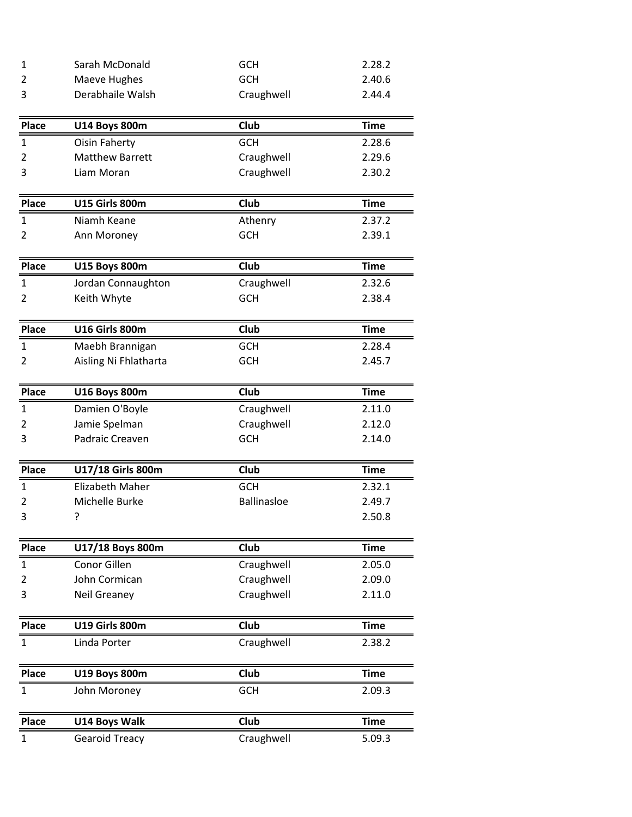| 1            | Sarah McDonald         | <b>GCH</b>         | 2.28.2      |
|--------------|------------------------|--------------------|-------------|
| 2            | Maeve Hughes           | GCH                | 2.40.6      |
| 3            | Derabhaile Walsh       | Craughwell         | 2.44.4      |
| <b>Place</b> | <b>U14 Boys 800m</b>   | Club               | <b>Time</b> |
| $\mathbf{1}$ | <b>Oisin Faherty</b>   | <b>GCH</b>         | 2.28.6      |
| 2            | <b>Matthew Barrett</b> | Craughwell         | 2.29.6      |
| 3            | Liam Moran             | Craughwell         | 2.30.2      |
| Place        | <b>U15 Girls 800m</b>  | Club               | <b>Time</b> |
| $\mathbf{1}$ | Niamh Keane            | Athenry            | 2.37.2      |
| 2            | Ann Moroney            | <b>GCH</b>         | 2.39.1      |
| <b>Place</b> | <b>U15 Boys 800m</b>   | Club               | <b>Time</b> |
| $\mathbf{1}$ | Jordan Connaughton     | Craughwell         | 2.32.6      |
| 2            | Keith Whyte            | <b>GCH</b>         | 2.38.4      |
| <b>Place</b> | <b>U16 Girls 800m</b>  | Club               | <b>Time</b> |
| $\mathbf{1}$ | Maebh Brannigan        | <b>GCH</b>         | 2.28.4      |
| 2            | Aisling Ni Fhlatharta  | <b>GCH</b>         | 2.45.7      |
| Place        | <b>U16 Boys 800m</b>   | <b>Club</b>        | <b>Time</b> |
| 1            | Damien O'Boyle         | Craughwell         | 2.11.0      |
| 2            | Jamie Spelman          | Craughwell         | 2.12.0      |
| 3            | Padraic Creaven        | <b>GCH</b>         | 2.14.0      |
| <b>Place</b> | U17/18 Girls 800m      | Club               | <b>Time</b> |
| $\mathbf{1}$ | <b>Elizabeth Maher</b> | <b>GCH</b>         | 2.32.1      |
| 2            | Michelle Burke         | <b>Ballinasloe</b> | 2.49.7      |
| 3            | ?                      |                    | 2.50.8      |
| Place        | U17/18 Boys 800m       | Club               | <b>Time</b> |
| 1            | <b>Conor Gillen</b>    | Craughwell         | 2.05.0      |
| 2            | John Cormican          | Craughwell         | 2.09.0      |
| 3            | Neil Greaney           | Craughwell         | 2.11.0      |
| Place        | <b>U19 Girls 800m</b>  | Club               | <b>Time</b> |
| $\mathbf{1}$ | Linda Porter           | Craughwell         | 2.38.2      |
| Place        | <b>U19 Boys 800m</b>   | Club               | <b>Time</b> |
| $\mathbf{1}$ | John Moroney           | <b>GCH</b>         | 2.09.3      |
| Place        | U14 Boys Walk          | Club               | <b>Time</b> |
| $\mathbf{1}$ | <b>Gearoid Treacy</b>  | Craughwell         | 5.09.3      |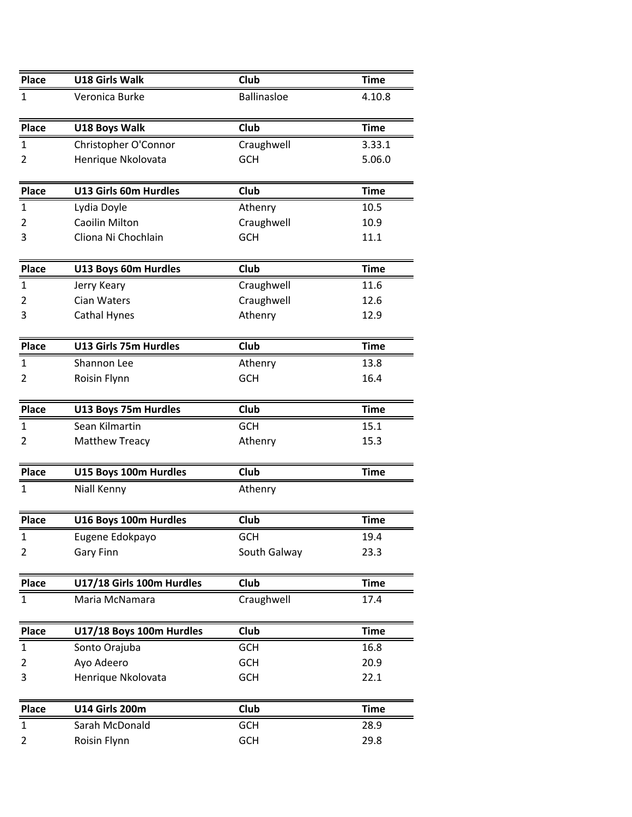| <b>Place</b>   | U18 Girls Walk            | Club               | <b>Time</b> |
|----------------|---------------------------|--------------------|-------------|
| $\mathbf 1$    | Veronica Burke            | <b>Ballinasloe</b> | 4.10.8      |
| <b>Place</b>   | U18 Boys Walk             | Club               | <b>Time</b> |
| $\mathbf 1$    | Christopher O'Connor      | Craughwell         | 3.33.1      |
| $\overline{2}$ | Henrique Nkolovata        | <b>GCH</b>         | 5.06.0      |
|                |                           |                    |             |
| Place          | U13 Girls 60m Hurdles     | Club               | <b>Time</b> |
| $\mathbf{1}$   | Lydia Doyle               | Athenry            | 10.5        |
| $\overline{2}$ | <b>Caoilin Milton</b>     | Craughwell         | 10.9        |
| 3              | Cliona Ni Chochlain       | <b>GCH</b>         | 11.1        |
| Place          | U13 Boys 60m Hurdles      | <b>Club</b>        | <b>Time</b> |
| $\mathbf 1$    | Jerry Keary               | Craughwell         | 11.6        |
| $\overline{2}$ | Cian Waters               | Craughwell         | 12.6        |
| 3              | <b>Cathal Hynes</b>       | Athenry            | 12.9        |
|                |                           |                    |             |
| Place          | U13 Girls 75m Hurdles     | <b>Club</b>        | <b>Time</b> |
| $\mathbf{1}$   | Shannon Lee               | Athenry            | 13.8        |
| $\overline{2}$ | Roisin Flynn              | <b>GCH</b>         | 16.4        |
| Place          | U13 Boys 75m Hurdles      | <b>Club</b>        | <b>Time</b> |
| $\mathbf 1$    | Sean Kilmartin            | GCH                | 15.1        |
| 2              | <b>Matthew Treacy</b>     | Athenry            | 15.3        |
|                |                           |                    |             |
| <b>Place</b>   | U15 Boys 100m Hurdles     | Club               | <b>Time</b> |
| $\mathbf{1}$   | Niall Kenny               | Athenry            |             |
| <b>Place</b>   | U16 Boys 100m Hurdles     | Club               | <b>Time</b> |
| $\mathbf{1}$   | Eugene Edokpayo           | <b>GCH</b>         | 19.4        |
| 2              | Gary Finn                 | South Galway       | 23.3        |
|                |                           |                    |             |
| Place          | U17/18 Girls 100m Hurdles | Club               | <b>Time</b> |
| $\mathbf{1}$   | Maria McNamara            | Craughwell         | 17.4        |
| <b>Place</b>   | U17/18 Boys 100m Hurdles  | Club               | <b>Time</b> |
| $\mathbf 1$    | Sonto Orajuba             | <b>GCH</b>         | 16.8        |
| $\overline{2}$ | Ayo Adeero                | <b>GCH</b>         | 20.9        |
| 3              | Henrique Nkolovata        | <b>GCH</b>         | 22.1        |
| Place          | <b>U14 Girls 200m</b>     | Club               | <b>Time</b> |
|                |                           |                    |             |
| $\mathbf 1$    | Sarah McDonald            | <b>GCH</b>         | 28.9        |
| $\overline{2}$ | Roisin Flynn              | <b>GCH</b>         | 29.8        |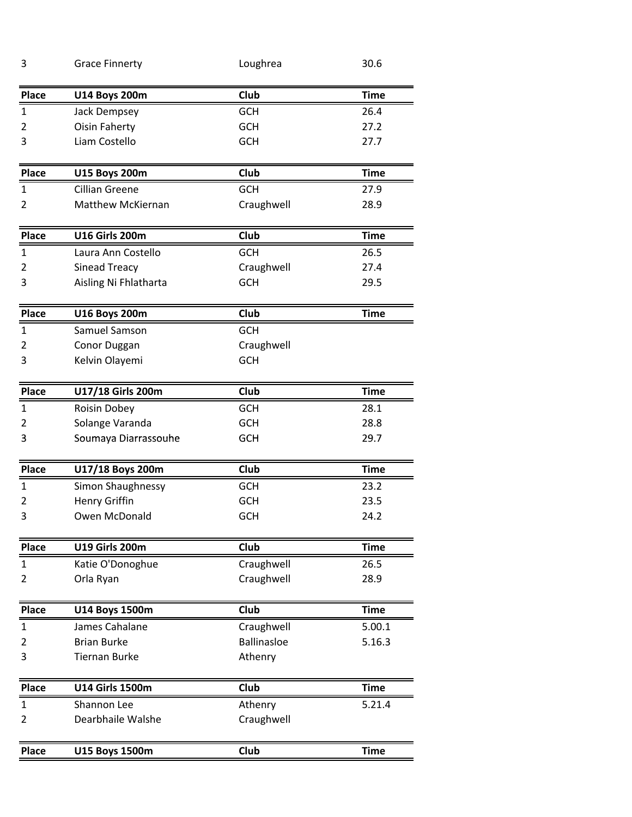| 3              | <b>Grace Finnerty</b>  | Loughrea           | 30.6        |
|----------------|------------------------|--------------------|-------------|
| <b>Place</b>   | <b>U14 Boys 200m</b>   | Club               | <b>Time</b> |
| $\mathbf{1}$   | Jack Dempsey           | <b>GCH</b>         | 26.4        |
| 2              | <b>Oisin Faherty</b>   | <b>GCH</b>         | 27.2        |
| 3              | Liam Costello          | <b>GCH</b>         | 27.7        |
| <b>Place</b>   | <b>U15 Boys 200m</b>   | Club               | <b>Time</b> |
| 1              | <b>Cillian Greene</b>  | <b>GCH</b>         | 27.9        |
| $\overline{2}$ | Matthew McKiernan      | Craughwell         | 28.9        |
| <b>Place</b>   | <b>U16 Girls 200m</b>  | Club               | <b>Time</b> |
| $\mathbf{1}$   | Laura Ann Costello     | <b>GCH</b>         | 26.5        |
| 2              | <b>Sinead Treacy</b>   | Craughwell         | 27.4        |
| 3              | Aisling Ni Fhlatharta  | <b>GCH</b>         | 29.5        |
| <b>Place</b>   | <b>U16 Boys 200m</b>   | Club               | <b>Time</b> |
| $\mathbf{1}$   | Samuel Samson          | <b>GCH</b>         |             |
| 2              | Conor Duggan           | Craughwell         |             |
| 3              | Kelvin Olayemi         | <b>GCH</b>         |             |
| <b>Place</b>   | U17/18 Girls 200m      | Club               | <b>Time</b> |
| $\mathbf{1}$   | Roisin Dobey           | <b>GCH</b>         | 28.1        |
| 2              | Solange Varanda        | <b>GCH</b>         | 28.8        |
| 3              | Soumaya Diarrassouhe   | <b>GCH</b>         | 29.7        |
| <b>Place</b>   | U17/18 Boys 200m       | Club               | <b>Time</b> |
| 1              | Simon Shaughnessy      | <b>GCH</b>         | 23.2        |
| 2              | <b>Henry Griffin</b>   | <b>GCH</b>         | 23.5        |
| 3              | Owen McDonald          | <b>GCH</b>         | 24.2        |
| <b>Place</b>   | <b>U19 Girls 200m</b>  | Club               | <b>Time</b> |
| $\mathbf{1}$   | Katie O'Donoghue       | Craughwell         | 26.5        |
| 2              | Orla Ryan              | Craughwell         | 28.9        |
| Place          | U14 Boys 1500m         | Club               | <b>Time</b> |
| $\mathbf{1}$   | James Cahalane         | Craughwell         | 5.00.1      |
| 2              | <b>Brian Burke</b>     | <b>Ballinasloe</b> | 5.16.3      |
| 3              | <b>Tiernan Burke</b>   | Athenry            |             |
|                |                        |                    |             |
| <b>Place</b>   | <b>U14 Girls 1500m</b> | <b>Club</b>        | <b>Time</b> |
| 1              | Shannon Lee            | Athenry            | 5.21.4      |
| 2              | Dearbhaile Walshe      | Craughwell         |             |
| Place          | U15 Boys 1500m         | <b>Club</b>        | <b>Time</b> |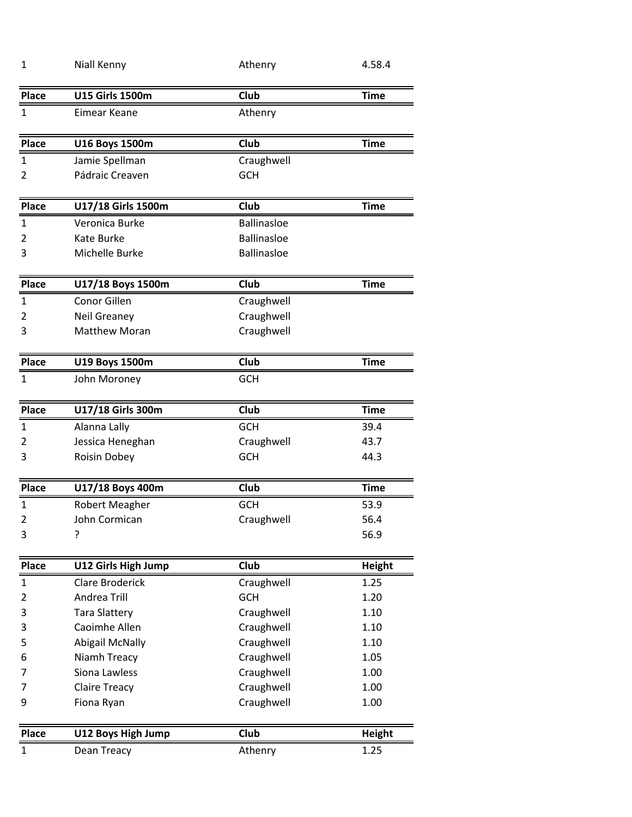| Club<br><b>Place</b><br><b>U15 Girls 1500m</b><br><b>Time</b><br>$\mathbf{1}$<br>Eimear Keane<br>Athenry<br>Club<br><b>Place</b><br><b>U16 Boys 1500m</b><br><b>Time</b><br>$\mathbf{1}$<br>Jamie Spellman<br>Craughwell<br>Pádraic Creaven<br><b>GCH</b><br>2<br><b>Place</b><br>U17/18 Girls 1500m<br>Club<br><b>Time</b><br>$\mathbf 1$<br><b>Ballinasloe</b><br>Veronica Burke<br><b>Ballinasloe</b><br>$\overline{2}$<br>Kate Burke<br>Michelle Burke<br><b>Ballinasloe</b><br>3<br>Club<br><b>Time</b><br><b>Place</b><br>U17/18 Boys 1500m<br>Conor Gillen<br>$\mathbf{1}$<br>Craughwell<br>Craughwell<br>Neil Greaney<br>2<br>Craughwell<br><b>Matthew Moran</b><br>3<br>Place<br><b>Club</b><br>U19 Boys 1500m<br><b>Time</b><br><b>GCH</b><br>$\mathbf{1}$<br>John Moroney<br><b>Place</b><br>U17/18 Girls 300m<br>Club<br><b>Time</b><br>$\mathbf{1}$<br><b>GCH</b><br>Alanna Lally<br>39.4<br>Jessica Heneghan<br>Craughwell<br>43.7<br>2<br>3<br>Roisin Dobey<br><b>GCH</b><br>44.3<br>Club<br><b>Time</b><br><b>Place</b><br>U17/18 Boys 400m<br>$\mathbf{1}$<br><b>GCH</b><br>53.9<br><b>Robert Meagher</b><br>Craughwell<br>$\overline{2}$<br>John Cormican<br>56.4<br>3<br>?<br>56.9<br>Place<br>U12 Girls High Jump<br><b>Club</b><br><b>Height</b><br><b>Clare Broderick</b><br>Craughwell<br>1.25<br>$\mathbf{1}$<br><b>GCH</b><br>$\overline{2}$<br>Andrea Trill<br>1.20<br>3<br><b>Tara Slattery</b><br>Craughwell<br>1.10<br>Caoimhe Allen<br>Craughwell<br>3<br>1.10<br><b>Abigail McNally</b><br>Craughwell<br>5<br>1.10<br>Craughwell<br>Niamh Treacy<br>1.05<br>6<br>Siona Lawless<br>Craughwell<br>1.00<br>7<br>Craughwell<br><b>Claire Treacy</b><br>1.00<br>7<br>Craughwell<br>1.00<br>9<br>Fiona Ryan<br>Club<br>Place<br>U12 Boys High Jump<br>Height<br>$\mathbf{1}$<br>Dean Treacy<br>1.25<br>Athenry | 1 | Niall Kenny | Athenry | 4.58.4 |
|-----------------------------------------------------------------------------------------------------------------------------------------------------------------------------------------------------------------------------------------------------------------------------------------------------------------------------------------------------------------------------------------------------------------------------------------------------------------------------------------------------------------------------------------------------------------------------------------------------------------------------------------------------------------------------------------------------------------------------------------------------------------------------------------------------------------------------------------------------------------------------------------------------------------------------------------------------------------------------------------------------------------------------------------------------------------------------------------------------------------------------------------------------------------------------------------------------------------------------------------------------------------------------------------------------------------------------------------------------------------------------------------------------------------------------------------------------------------------------------------------------------------------------------------------------------------------------------------------------------------------------------------------------------------------------------------------------------------------------------------------------------------------------------------------------------------------------------------|---|-------------|---------|--------|
|                                                                                                                                                                                                                                                                                                                                                                                                                                                                                                                                                                                                                                                                                                                                                                                                                                                                                                                                                                                                                                                                                                                                                                                                                                                                                                                                                                                                                                                                                                                                                                                                                                                                                                                                                                                                                                         |   |             |         |        |
|                                                                                                                                                                                                                                                                                                                                                                                                                                                                                                                                                                                                                                                                                                                                                                                                                                                                                                                                                                                                                                                                                                                                                                                                                                                                                                                                                                                                                                                                                                                                                                                                                                                                                                                                                                                                                                         |   |             |         |        |
|                                                                                                                                                                                                                                                                                                                                                                                                                                                                                                                                                                                                                                                                                                                                                                                                                                                                                                                                                                                                                                                                                                                                                                                                                                                                                                                                                                                                                                                                                                                                                                                                                                                                                                                                                                                                                                         |   |             |         |        |
|                                                                                                                                                                                                                                                                                                                                                                                                                                                                                                                                                                                                                                                                                                                                                                                                                                                                                                                                                                                                                                                                                                                                                                                                                                                                                                                                                                                                                                                                                                                                                                                                                                                                                                                                                                                                                                         |   |             |         |        |
|                                                                                                                                                                                                                                                                                                                                                                                                                                                                                                                                                                                                                                                                                                                                                                                                                                                                                                                                                                                                                                                                                                                                                                                                                                                                                                                                                                                                                                                                                                                                                                                                                                                                                                                                                                                                                                         |   |             |         |        |
|                                                                                                                                                                                                                                                                                                                                                                                                                                                                                                                                                                                                                                                                                                                                                                                                                                                                                                                                                                                                                                                                                                                                                                                                                                                                                                                                                                                                                                                                                                                                                                                                                                                                                                                                                                                                                                         |   |             |         |        |
|                                                                                                                                                                                                                                                                                                                                                                                                                                                                                                                                                                                                                                                                                                                                                                                                                                                                                                                                                                                                                                                                                                                                                                                                                                                                                                                                                                                                                                                                                                                                                                                                                                                                                                                                                                                                                                         |   |             |         |        |
|                                                                                                                                                                                                                                                                                                                                                                                                                                                                                                                                                                                                                                                                                                                                                                                                                                                                                                                                                                                                                                                                                                                                                                                                                                                                                                                                                                                                                                                                                                                                                                                                                                                                                                                                                                                                                                         |   |             |         |        |
|                                                                                                                                                                                                                                                                                                                                                                                                                                                                                                                                                                                                                                                                                                                                                                                                                                                                                                                                                                                                                                                                                                                                                                                                                                                                                                                                                                                                                                                                                                                                                                                                                                                                                                                                                                                                                                         |   |             |         |        |
|                                                                                                                                                                                                                                                                                                                                                                                                                                                                                                                                                                                                                                                                                                                                                                                                                                                                                                                                                                                                                                                                                                                                                                                                                                                                                                                                                                                                                                                                                                                                                                                                                                                                                                                                                                                                                                         |   |             |         |        |
|                                                                                                                                                                                                                                                                                                                                                                                                                                                                                                                                                                                                                                                                                                                                                                                                                                                                                                                                                                                                                                                                                                                                                                                                                                                                                                                                                                                                                                                                                                                                                                                                                                                                                                                                                                                                                                         |   |             |         |        |
|                                                                                                                                                                                                                                                                                                                                                                                                                                                                                                                                                                                                                                                                                                                                                                                                                                                                                                                                                                                                                                                                                                                                                                                                                                                                                                                                                                                                                                                                                                                                                                                                                                                                                                                                                                                                                                         |   |             |         |        |
|                                                                                                                                                                                                                                                                                                                                                                                                                                                                                                                                                                                                                                                                                                                                                                                                                                                                                                                                                                                                                                                                                                                                                                                                                                                                                                                                                                                                                                                                                                                                                                                                                                                                                                                                                                                                                                         |   |             |         |        |
|                                                                                                                                                                                                                                                                                                                                                                                                                                                                                                                                                                                                                                                                                                                                                                                                                                                                                                                                                                                                                                                                                                                                                                                                                                                                                                                                                                                                                                                                                                                                                                                                                                                                                                                                                                                                                                         |   |             |         |        |
|                                                                                                                                                                                                                                                                                                                                                                                                                                                                                                                                                                                                                                                                                                                                                                                                                                                                                                                                                                                                                                                                                                                                                                                                                                                                                                                                                                                                                                                                                                                                                                                                                                                                                                                                                                                                                                         |   |             |         |        |
|                                                                                                                                                                                                                                                                                                                                                                                                                                                                                                                                                                                                                                                                                                                                                                                                                                                                                                                                                                                                                                                                                                                                                                                                                                                                                                                                                                                                                                                                                                                                                                                                                                                                                                                                                                                                                                         |   |             |         |        |
|                                                                                                                                                                                                                                                                                                                                                                                                                                                                                                                                                                                                                                                                                                                                                                                                                                                                                                                                                                                                                                                                                                                                                                                                                                                                                                                                                                                                                                                                                                                                                                                                                                                                                                                                                                                                                                         |   |             |         |        |
|                                                                                                                                                                                                                                                                                                                                                                                                                                                                                                                                                                                                                                                                                                                                                                                                                                                                                                                                                                                                                                                                                                                                                                                                                                                                                                                                                                                                                                                                                                                                                                                                                                                                                                                                                                                                                                         |   |             |         |        |
|                                                                                                                                                                                                                                                                                                                                                                                                                                                                                                                                                                                                                                                                                                                                                                                                                                                                                                                                                                                                                                                                                                                                                                                                                                                                                                                                                                                                                                                                                                                                                                                                                                                                                                                                                                                                                                         |   |             |         |        |
|                                                                                                                                                                                                                                                                                                                                                                                                                                                                                                                                                                                                                                                                                                                                                                                                                                                                                                                                                                                                                                                                                                                                                                                                                                                                                                                                                                                                                                                                                                                                                                                                                                                                                                                                                                                                                                         |   |             |         |        |
|                                                                                                                                                                                                                                                                                                                                                                                                                                                                                                                                                                                                                                                                                                                                                                                                                                                                                                                                                                                                                                                                                                                                                                                                                                                                                                                                                                                                                                                                                                                                                                                                                                                                                                                                                                                                                                         |   |             |         |        |
|                                                                                                                                                                                                                                                                                                                                                                                                                                                                                                                                                                                                                                                                                                                                                                                                                                                                                                                                                                                                                                                                                                                                                                                                                                                                                                                                                                                                                                                                                                                                                                                                                                                                                                                                                                                                                                         |   |             |         |        |
|                                                                                                                                                                                                                                                                                                                                                                                                                                                                                                                                                                                                                                                                                                                                                                                                                                                                                                                                                                                                                                                                                                                                                                                                                                                                                                                                                                                                                                                                                                                                                                                                                                                                                                                                                                                                                                         |   |             |         |        |
|                                                                                                                                                                                                                                                                                                                                                                                                                                                                                                                                                                                                                                                                                                                                                                                                                                                                                                                                                                                                                                                                                                                                                                                                                                                                                                                                                                                                                                                                                                                                                                                                                                                                                                                                                                                                                                         |   |             |         |        |
|                                                                                                                                                                                                                                                                                                                                                                                                                                                                                                                                                                                                                                                                                                                                                                                                                                                                                                                                                                                                                                                                                                                                                                                                                                                                                                                                                                                                                                                                                                                                                                                                                                                                                                                                                                                                                                         |   |             |         |        |
|                                                                                                                                                                                                                                                                                                                                                                                                                                                                                                                                                                                                                                                                                                                                                                                                                                                                                                                                                                                                                                                                                                                                                                                                                                                                                                                                                                                                                                                                                                                                                                                                                                                                                                                                                                                                                                         |   |             |         |        |
|                                                                                                                                                                                                                                                                                                                                                                                                                                                                                                                                                                                                                                                                                                                                                                                                                                                                                                                                                                                                                                                                                                                                                                                                                                                                                                                                                                                                                                                                                                                                                                                                                                                                                                                                                                                                                                         |   |             |         |        |
|                                                                                                                                                                                                                                                                                                                                                                                                                                                                                                                                                                                                                                                                                                                                                                                                                                                                                                                                                                                                                                                                                                                                                                                                                                                                                                                                                                                                                                                                                                                                                                                                                                                                                                                                                                                                                                         |   |             |         |        |
|                                                                                                                                                                                                                                                                                                                                                                                                                                                                                                                                                                                                                                                                                                                                                                                                                                                                                                                                                                                                                                                                                                                                                                                                                                                                                                                                                                                                                                                                                                                                                                                                                                                                                                                                                                                                                                         |   |             |         |        |
|                                                                                                                                                                                                                                                                                                                                                                                                                                                                                                                                                                                                                                                                                                                                                                                                                                                                                                                                                                                                                                                                                                                                                                                                                                                                                                                                                                                                                                                                                                                                                                                                                                                                                                                                                                                                                                         |   |             |         |        |
|                                                                                                                                                                                                                                                                                                                                                                                                                                                                                                                                                                                                                                                                                                                                                                                                                                                                                                                                                                                                                                                                                                                                                                                                                                                                                                                                                                                                                                                                                                                                                                                                                                                                                                                                                                                                                                         |   |             |         |        |
|                                                                                                                                                                                                                                                                                                                                                                                                                                                                                                                                                                                                                                                                                                                                                                                                                                                                                                                                                                                                                                                                                                                                                                                                                                                                                                                                                                                                                                                                                                                                                                                                                                                                                                                                                                                                                                         |   |             |         |        |
|                                                                                                                                                                                                                                                                                                                                                                                                                                                                                                                                                                                                                                                                                                                                                                                                                                                                                                                                                                                                                                                                                                                                                                                                                                                                                                                                                                                                                                                                                                                                                                                                                                                                                                                                                                                                                                         |   |             |         |        |
|                                                                                                                                                                                                                                                                                                                                                                                                                                                                                                                                                                                                                                                                                                                                                                                                                                                                                                                                                                                                                                                                                                                                                                                                                                                                                                                                                                                                                                                                                                                                                                                                                                                                                                                                                                                                                                         |   |             |         |        |
|                                                                                                                                                                                                                                                                                                                                                                                                                                                                                                                                                                                                                                                                                                                                                                                                                                                                                                                                                                                                                                                                                                                                                                                                                                                                                                                                                                                                                                                                                                                                                                                                                                                                                                                                                                                                                                         |   |             |         |        |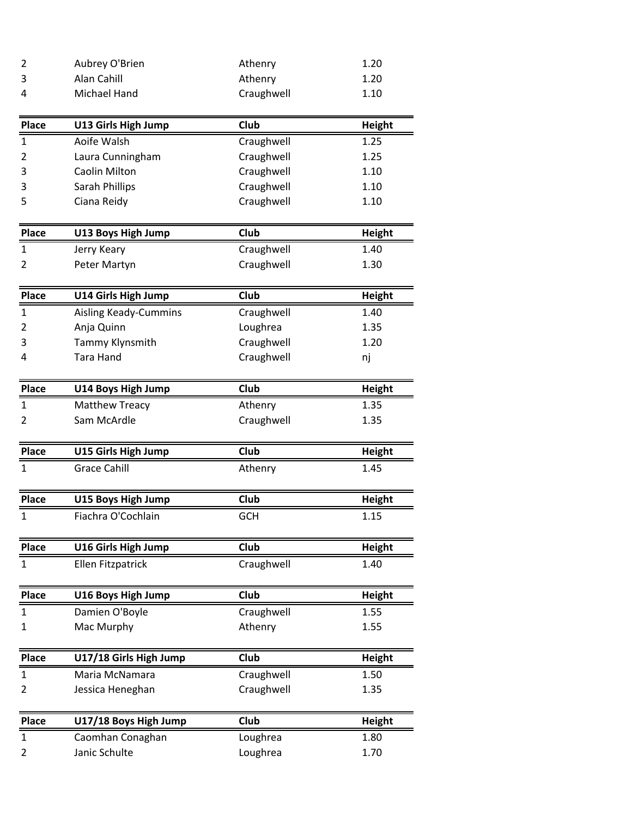| 2            | Aubrey O'Brien               | Athenry     | 1.20          |
|--------------|------------------------------|-------------|---------------|
| 3            | Alan Cahill                  | Athenry     | 1.20          |
| 4            | Michael Hand                 | Craughwell  | 1.10          |
| <b>Place</b> | U13 Girls High Jump          | Club        | <b>Height</b> |
| $\mathbf{1}$ | Aoife Walsh                  | Craughwell  | 1.25          |
| 2            | Laura Cunningham             | Craughwell  | 1.25          |
| 3            | Caolin Milton                | Craughwell  | 1.10          |
| 3            | Sarah Phillips               | Craughwell  | 1.10          |
| 5            | Ciana Reidy                  | Craughwell  | 1.10          |
| <b>Place</b> | U13 Boys High Jump           | <b>Club</b> | <b>Height</b> |
| $\mathbf{1}$ | Jerry Keary                  | Craughwell  | 1.40          |
| 2            | Peter Martyn                 | Craughwell  | 1.30          |
| <b>Place</b> | U14 Girls High Jump          | Club        | Height        |
| $\mathbf{1}$ | <b>Aisling Keady-Cummins</b> | Craughwell  | 1.40          |
| 2            | Anja Quinn                   | Loughrea    | 1.35          |
| 3            | Tammy Klynsmith              | Craughwell  | 1.20          |
| 4            | Tara Hand                    | Craughwell  | nj            |
| Place        | U14 Boys High Jump           | Club        | Height        |
| $\mathbf{1}$ | <b>Matthew Treacy</b>        | Athenry     | 1.35          |
| 2            | Sam McArdle                  | Craughwell  | 1.35          |
| <b>Place</b> | U15 Girls High Jump          | Club        | <b>Height</b> |
| $\mathbf{1}$ | <b>Grace Cahill</b>          | Athenry     | 1.45          |
| Place        | U15 Boys High Jump           | Club        | <b>Height</b> |
| 1            | Fiachra O'Cochlain           | <b>GCH</b>  | 1.15          |
| Place        | U16 Girls High Jump          | Club        | <b>Height</b> |
| $\mathbf{1}$ | Ellen Fitzpatrick            | Craughwell  | 1.40          |
| Place        | U16 Boys High Jump           | Club        | <b>Height</b> |
| 1            | Damien O'Boyle               | Craughwell  | 1.55          |
| $\mathbf{1}$ | Mac Murphy                   | Athenry     | 1.55          |
| <b>Place</b> | U17/18 Girls High Jump       | Club        | <b>Height</b> |
| 1            | Maria McNamara               | Craughwell  | 1.50          |
| 2            | Jessica Heneghan             | Craughwell  | 1.35          |
| Place        | U17/18 Boys High Jump        | Club        | <b>Height</b> |
| $\mathbf{1}$ | Caomhan Conaghan             | Loughrea    | 1.80          |
| 2            | Janic Schulte                | Loughrea    | 1.70          |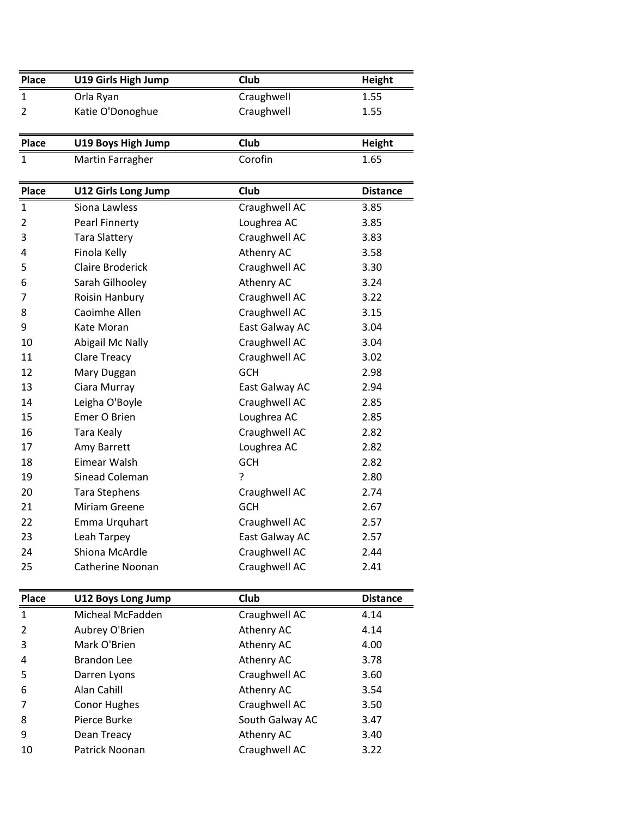| Place        | U19 Girls High Jump        | Club           | Height          |
|--------------|----------------------------|----------------|-----------------|
| $\mathbf{1}$ | Orla Ryan                  | Craughwell     | 1.55            |
| 2            | Katie O'Donoghue           | Craughwell     | 1.55            |
|              |                            |                |                 |
| <b>Place</b> | U19 Boys High Jump         | Club           | Height          |
| $\mathbf{1}$ | Martin Farragher           | Corofin        | 1.65            |
|              |                            |                |                 |
| <b>Place</b> | <b>U12 Girls Long Jump</b> | Club           | <b>Distance</b> |
| $\mathbf{1}$ | Siona Lawless              | Craughwell AC  | 3.85            |
| 2            | Pearl Finnerty             | Loughrea AC    | 3.85            |
| 3            | <b>Tara Slattery</b>       | Craughwell AC  | 3.83            |
| 4            | Finola Kelly               | Athenry AC     | 3.58            |
| 5            | <b>Claire Broderick</b>    | Craughwell AC  | 3.30            |
| 6            | Sarah Gilhooley            | Athenry AC     | 3.24            |
| 7            | Roisin Hanbury             | Craughwell AC  | 3.22            |
| 8            | Caoimhe Allen              | Craughwell AC  | 3.15            |
| 9            | Kate Moran                 | East Galway AC | 3.04            |
| 10           | Abigail Mc Nally           | Craughwell AC  | 3.04            |
| 11           | Clare Treacy               | Craughwell AC  | 3.02            |
| 12           | Mary Duggan                | <b>GCH</b>     | 2.98            |
| 13           | Ciara Murray               | East Galway AC | 2.94            |
| 14           | Leigha O'Boyle             | Craughwell AC  | 2.85            |
| 15           | Emer O Brien               | Loughrea AC    | 2.85            |
| 16           | Tara Kealy                 | Craughwell AC  | 2.82            |
| 17           | Amy Barrett                | Loughrea AC    | 2.82            |
| 18           | Eimear Walsh               | GCH            | 2.82            |
| 19           | Sinead Coleman             | ?              | 2.80            |
| 20           | <b>Tara Stephens</b>       | Craughwell AC  | 2.74            |
| 21           | <b>Miriam Greene</b>       | <b>GCH</b>     | 2.67            |
| 22           | Emma Urquhart              | Craughwell AC  | 2.57            |
| 23           | Leah Tarpey                | East Galway AC | 2.57            |
| 24           | Shiona McArdle             | Craughwell AC  | 2.44            |
| 25           | Catherine Noonan           | Craughwell AC  | 2.41            |
|              |                            |                |                 |
| Place        | U12 Boys Long Jump         | Club           | <b>Distance</b> |
| $\mathbf{1}$ | Micheal McFadden           | Craughwell AC  | 4.14            |
| 2            | Aubrey O'Brien             | Athenry AC     | 4.14            |
| 3            | Mark O'Brien               | Athenry AC     | 4.00            |
| 4            | <b>Brandon Lee</b>         | Athenry AC     | 3.78            |

 Darren Lyons Craughwell AC 3.60 6 Alan Cahill **Athenry AC** 3.54 7 Conor Hughes Craughwell AC 3.50 8 Pierce Burke South Galway AC 3.47 9 Dean Treacy **Athenry AC** 3.40 10 Patrick Noonan Craughwell AC 3.22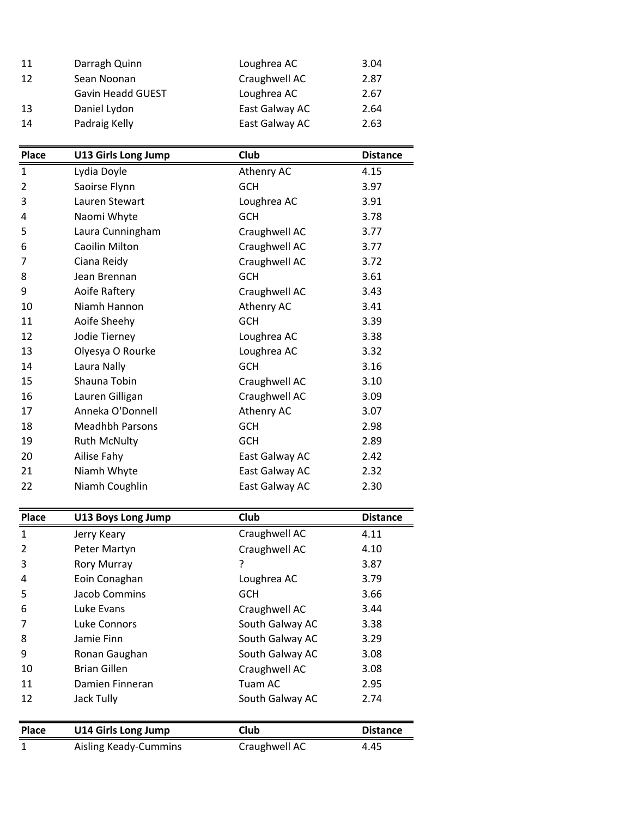| 11  | Darragh Quinn            | Loughrea AC    | 3.04 |
|-----|--------------------------|----------------|------|
| -12 | Sean Noonan              | Craughwell AC  | 2.87 |
|     | <b>Gavin Headd GUEST</b> | Loughrea AC    | 2.67 |
| -13 | Daniel Lydon             | East Galway AC | 2.64 |
| 14  | Padraig Kelly            | East Galway AC | 2.63 |

| <b>Place</b> | U13 Girls Long Jump    | Club           | <b>Distance</b> |
|--------------|------------------------|----------------|-----------------|
| $\mathbf{1}$ | Lydia Doyle            | Athenry AC     | 4.15            |
| 2            | Saoirse Flynn          | <b>GCH</b>     | 3.97            |
| 3            | Lauren Stewart         | Loughrea AC    | 3.91            |
| 4            | Naomi Whyte            | <b>GCH</b>     | 3.78            |
| 5            | Laura Cunningham       | Craughwell AC  | 3.77            |
| 6            | Caoilin Milton         | Craughwell AC  | 3.77            |
| 7            | Ciana Reidy            | Craughwell AC  | 3.72            |
| 8            | Jean Brennan           | <b>GCH</b>     | 3.61            |
| 9            | Aoife Raftery          | Craughwell AC  | 3.43            |
| 10           | Niamh Hannon           | Athenry AC     | 3.41            |
| 11           | Aoife Sheehy           | <b>GCH</b>     | 3.39            |
| 12           | Jodie Tierney          | Loughrea AC    | 3.38            |
| 13           | Olyesya O Rourke       | Loughrea AC    | 3.32            |
| 14           | Laura Nally            | <b>GCH</b>     | 3.16            |
| 15           | Shauna Tobin           | Craughwell AC  | 3.10            |
| 16           | Lauren Gilligan        | Craughwell AC  | 3.09            |
| 17           | Anneka O'Donnell       | Athenry AC     | 3.07            |
| 18           | <b>Meadhbh Parsons</b> | <b>GCH</b>     | 2.98            |
| 19           | <b>Ruth McNulty</b>    | <b>GCH</b>     | 2.89            |
| 20           | Ailise Fahy            | East Galway AC | 2.42            |
| 21           | Niamh Whyte            | East Galway AC | 2.32            |
| 22           | Niamh Coughlin         | East Galway AC | 2.30            |

| <b>Place</b> | <b>U13 Boys Long Jump</b>    | Club            | <b>Distance</b> |
|--------------|------------------------------|-----------------|-----------------|
| 1            | Jerry Keary                  | Craughwell AC   | 4.11            |
| 2            | Peter Martyn                 | Craughwell AC   | 4.10            |
| 3            | <b>Rory Murray</b>           | ?               | 3.87            |
| 4            | Eoin Conaghan                | Loughrea AC     | 3.79            |
| 5            | Jacob Commins                | <b>GCH</b>      | 3.66            |
| 6            | Luke Evans                   | Craughwell AC   | 3.44            |
| 7            | Luke Connors                 | South Galway AC | 3.38            |
| 8            | Jamie Finn                   | South Galway AC | 3.29            |
| 9            | Ronan Gaughan                | South Galway AC | 3.08            |
| 10           | <b>Brian Gillen</b>          | Craughwell AC   | 3.08            |
| 11           | Damien Finneran              | Tuam AC         | 2.95            |
| 12           | Jack Tully                   | South Galway AC | 2.74            |
|              |                              |                 |                 |
| <b>Place</b> | <b>U14 Girls Long Jump</b>   | Club            | <b>Distance</b> |
| $\mathbf{1}$ | <b>Aisling Keady-Cummins</b> | Craughwell AC   | 4.45            |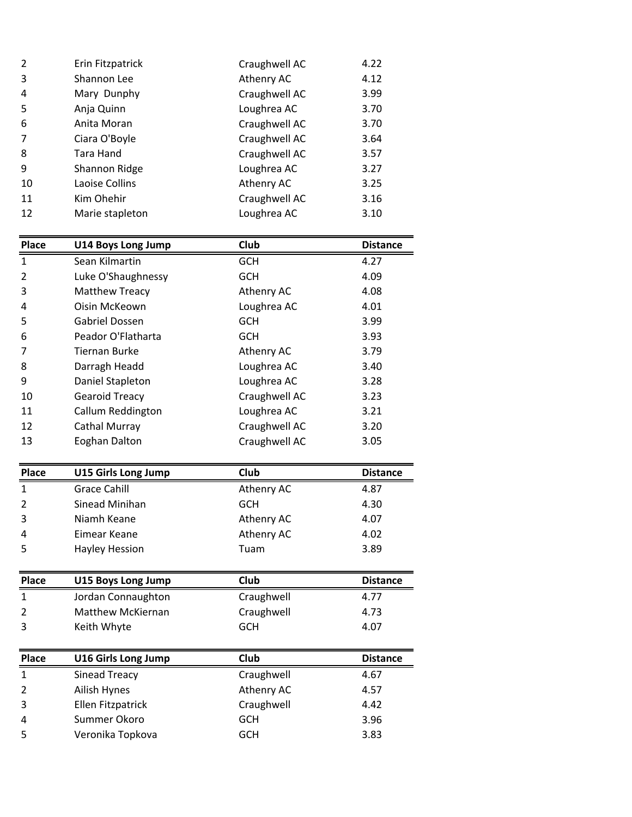| 3<br>Athenry AC<br>4.12<br>Shannon Lee<br>4<br>Craughwell AC<br>3.99<br>Mary Dunphy<br>5<br>Loughrea AC<br>3.70<br>Anja Quinn<br>6<br>Craughwell AC<br>Anita Moran<br>3.70<br>$\overline{7}$<br>Ciara O'Boyle<br>Craughwell AC<br>3.64<br>8<br>Craughwell AC<br>Tara Hand<br>3.57<br>9<br>Loughrea AC<br>3.27<br>Shannon Ridge<br>Athenry AC<br>10<br>3.25<br>Laoise Collins | 2  | Erin Fitzpatrick | Craughwell AC | 4.22 |
|------------------------------------------------------------------------------------------------------------------------------------------------------------------------------------------------------------------------------------------------------------------------------------------------------------------------------------------------------------------------------|----|------------------|---------------|------|
|                                                                                                                                                                                                                                                                                                                                                                              |    |                  |               |      |
|                                                                                                                                                                                                                                                                                                                                                                              |    |                  |               |      |
|                                                                                                                                                                                                                                                                                                                                                                              |    |                  |               |      |
|                                                                                                                                                                                                                                                                                                                                                                              |    |                  |               |      |
|                                                                                                                                                                                                                                                                                                                                                                              |    |                  |               |      |
|                                                                                                                                                                                                                                                                                                                                                                              |    |                  |               |      |
|                                                                                                                                                                                                                                                                                                                                                                              |    |                  |               |      |
|                                                                                                                                                                                                                                                                                                                                                                              |    |                  |               |      |
|                                                                                                                                                                                                                                                                                                                                                                              | 11 | Kim Ohehir       | Craughwell AC | 3.16 |
|                                                                                                                                                                                                                                                                                                                                                                              | 12 | Marie stapleton  | Loughrea AC   | 3.10 |
|                                                                                                                                                                                                                                                                                                                                                                              |    |                  |               |      |

| <b>Place</b>   | <b>U14 Boys Long Jump</b>  | Club          | <b>Distance</b> |
|----------------|----------------------------|---------------|-----------------|
| $\mathbf{1}$   | Sean Kilmartin             | <b>GCH</b>    | 4.27            |
| 2              | Luke O'Shaughnessy         | <b>GCH</b>    | 4.09            |
| 3              | <b>Matthew Treacy</b>      | Athenry AC    | 4.08            |
| 4              | Oisin McKeown              | Loughrea AC   | 4.01            |
| 5              | <b>Gabriel Dossen</b>      | <b>GCH</b>    | 3.99            |
| 6              | Peador O'Flatharta         | <b>GCH</b>    | 3.93            |
| 7              | <b>Tiernan Burke</b>       | Athenry AC    | 3.79            |
| 8              | Darragh Headd              | Loughrea AC   | 3.40            |
| 9              | Daniel Stapleton           | Loughrea AC   | 3.28            |
| 10             | <b>Gearoid Treacy</b>      | Craughwell AC | 3.23            |
| 11             | Callum Reddington          | Loughrea AC   | 3.21            |
| 12             | Cathal Murray              | Craughwell AC | 3.20            |
| 13             | <b>Eoghan Dalton</b>       | Craughwell AC | 3.05            |
|                |                            |               |                 |
| <b>Place</b>   | <b>U15 Girls Long Jump</b> | Club          | <b>Distance</b> |
| $\mathbf{1}$   | <b>Grace Cahill</b>        | Athenry AC    | 4.87            |
| 2              | <b>Sinead Minihan</b>      | <b>GCH</b>    | 4.30            |
| 3              | Niamh Keane                | Athenry AC    | 4.07            |
| 4              | Eimear Keane               | Athenry AC    | 4.02            |
| 5              | <b>Hayley Hession</b>      | Tuam          | 3.89            |
|                |                            |               |                 |
| <b>Place</b>   | U15 Boys Long Jump         | <b>Club</b>   | <b>Distance</b> |
| $\mathbf{1}$   | Jordan Connaughton         | Craughwell    | 4.77            |
| $\overline{2}$ | Matthew McKiernan          | Craughwell    | 4.73            |
| 3              | Keith Whyte                | GCH           | 4.07            |
|                |                            |               |                 |
| <b>Place</b>   | <b>U16 Girls Long Jump</b> | <b>Club</b>   | <b>Distance</b> |
| 1              | <b>Sinead Treacy</b>       | Craughwell    | 4.67            |
| 2              | Ailish Hynes               | Athenry AC    | 4.57            |
| 3              | Ellen Fitzpatrick          | Craughwell    | 4.42            |
| 4              | Summer Okoro               | <b>GCH</b>    | 3.96            |
| 5              | Veronika Topkova           | <b>GCH</b>    | 3.83            |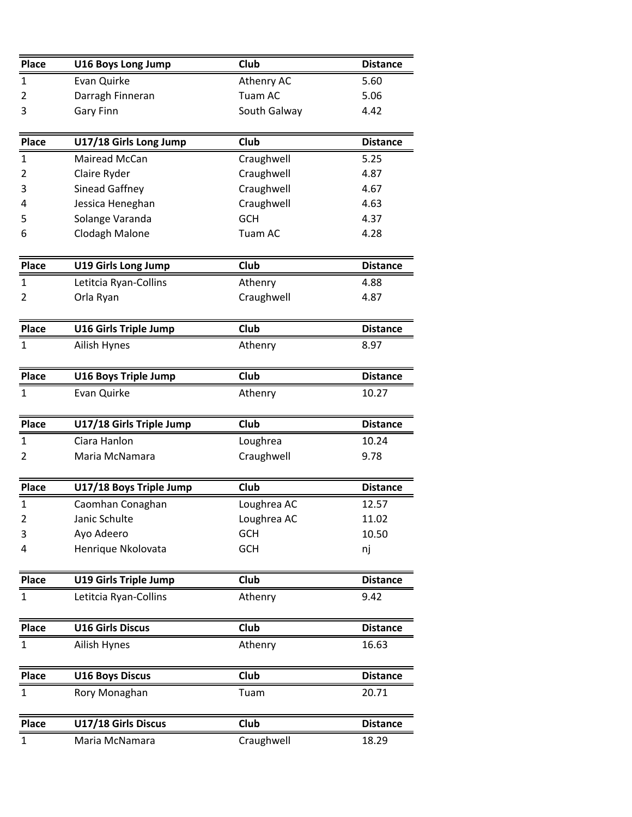| <b>Place</b>   | <b>U16 Boys Long Jump</b>    | Club         | <b>Distance</b> |
|----------------|------------------------------|--------------|-----------------|
| $\mathbf{1}$   | Evan Quirke                  | Athenry AC   | 5.60            |
| 2              | Darragh Finneran             | Tuam AC      | 5.06            |
| 3              | <b>Gary Finn</b>             | South Galway | 4.42            |
| <b>Place</b>   | U17/18 Girls Long Jump       | Club         | <b>Distance</b> |
| $\mathbf{1}$   | Mairead McCan                | Craughwell   | 5.25            |
| 2              | Claire Ryder                 | Craughwell   | 4.87            |
| 3              | Sinead Gaffney               | Craughwell   | 4.67            |
| 4              | Jessica Heneghan             | Craughwell   | 4.63            |
| 5              | Solange Varanda              | <b>GCH</b>   | 4.37            |
| 6              | Clodagh Malone               | Tuam AC      | 4.28            |
| <b>Place</b>   | <b>U19 Girls Long Jump</b>   | Club         | <b>Distance</b> |
| $\mathbf{1}$   | Letitcia Ryan-Collins        | Athenry      | 4.88            |
| 2              | Orla Ryan                    | Craughwell   | 4.87            |
| Place          | <b>U16 Girls Triple Jump</b> | Club         | <b>Distance</b> |
| $\mathbf{1}$   | Ailish Hynes                 | Athenry      | 8.97            |
| Place          | <b>U16 Boys Triple Jump</b>  | Club         | <b>Distance</b> |
| $\mathbf{1}$   | Evan Quirke                  | Athenry      | 10.27           |
| <b>Place</b>   | U17/18 Girls Triple Jump     | Club         | <b>Distance</b> |
| 1              | Ciara Hanlon                 | Loughrea     | 10.24           |
| $\overline{2}$ | Maria McNamara               | Craughwell   | 9.78            |
| Place          | U17/18 Boys Triple Jump      | Club         | <b>Distance</b> |
| $\mathbf{1}$   | Caomhan Conaghan             | Loughrea AC  | 12.57           |
| 2              | Janic Schulte                | Loughrea AC  | 11.02           |
| 3              | Ayo Adeero                   | <b>GCH</b>   | 10.50           |
| 4              | Henrique Nkolovata           | <b>GCH</b>   | nj              |
| <b>Place</b>   | <b>U19 Girls Triple Jump</b> | Club         | <b>Distance</b> |
| $\mathbf{1}$   | Letitcia Ryan-Collins        | Athenry      | 9.42            |
| <b>Place</b>   | <b>U16 Girls Discus</b>      | Club         | <b>Distance</b> |
| 1              | Ailish Hynes                 | Athenry      | 16.63           |
| <b>Place</b>   | <b>U16 Boys Discus</b>       | Club         | <b>Distance</b> |
| $\mathbf{1}$   | Rory Monaghan                | Tuam         | 20.71           |
| Place          | U17/18 Girls Discus          | Club         | <b>Distance</b> |
| $\mathbf{1}$   | Maria McNamara               | Craughwell   | 18.29           |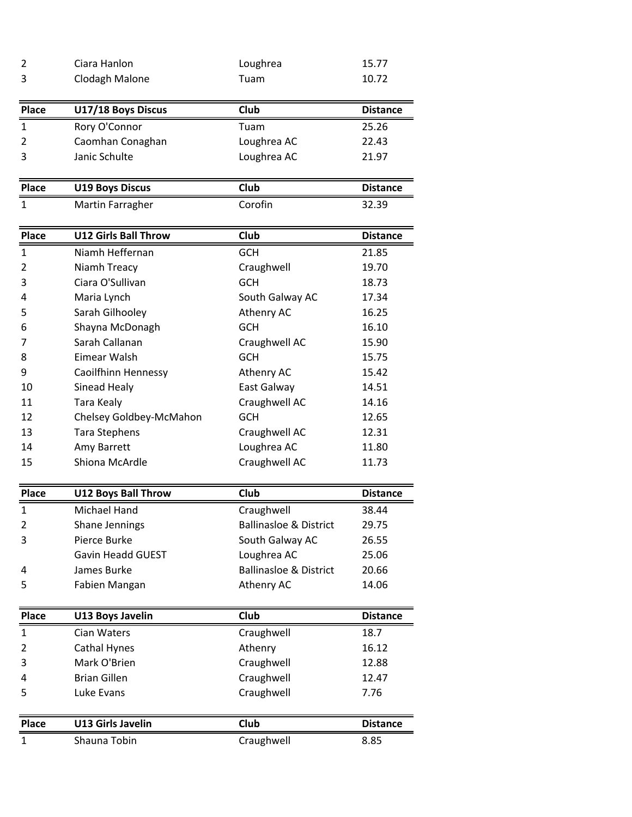| $\overline{2}$ | Ciara Hanlon                | Loughrea                          | 15.77           |
|----------------|-----------------------------|-----------------------------------|-----------------|
| 3              | Clodagh Malone              | Tuam                              | 10.72           |
|                |                             |                                   |                 |
| <b>Place</b>   | U17/18 Boys Discus          | Club                              | <b>Distance</b> |
| 1              | Rory O'Connor               | Tuam                              | 25.26           |
| $\overline{2}$ | Caomhan Conaghan            | Loughrea AC                       | 22.43           |
| 3              | Janic Schulte               | Loughrea AC                       | 21.97           |
|                |                             |                                   |                 |
| <b>Place</b>   | <b>U19 Boys Discus</b>      | Club                              | <b>Distance</b> |
| $\mathbf{1}$   | Martin Farragher            | Corofin                           | 32.39           |
|                |                             |                                   |                 |
| <b>Place</b>   | <b>U12 Girls Ball Throw</b> | Club                              | <b>Distance</b> |
| $\mathbf{1}$   | Niamh Heffernan             | <b>GCH</b>                        | 21.85           |
| 2              | Niamh Treacy                | Craughwell                        | 19.70           |
| 3              | Ciara O'Sullivan            | <b>GCH</b>                        | 18.73           |
| 4              | Maria Lynch                 | South Galway AC                   | 17.34           |
| 5              | Sarah Gilhooley             | Athenry AC                        | 16.25           |
| 6              | Shayna McDonagh             | <b>GCH</b>                        | 16.10           |
| 7              | Sarah Callanan              | Craughwell AC                     | 15.90           |
| 8              | Eimear Walsh                | <b>GCH</b>                        | 15.75           |
| 9              | Caoilfhinn Hennessy         | Athenry AC                        | 15.42           |
| 10             | Sinead Healy                | East Galway                       | 14.51           |
| 11             | Tara Kealy                  | Craughwell AC                     | 14.16           |
| 12             | Chelsey Goldbey-McMahon     | <b>GCH</b>                        | 12.65           |
| 13             | <b>Tara Stephens</b>        | Craughwell AC                     | 12.31           |
| 14             | Amy Barrett                 | Loughrea AC                       | 11.80           |
| 15             | Shiona McArdle              | Craughwell AC                     | 11.73           |
|                |                             |                                   |                 |
| <b>Place</b>   | <b>U12 Boys Ball Throw</b>  | <b>Club</b>                       | <b>Distance</b> |
| $\mathbf{1}$   | Michael Hand                | Craughwell                        | 38.44           |
| $\overline{2}$ | Shane Jennings              | <b>Ballinasloe &amp; District</b> | 29.75           |
| 3              | Pierce Burke                | South Galway AC                   | 26.55           |
|                | Gavin Headd GUEST           | Loughrea AC                       | 25.06           |
| 4              | James Burke                 | <b>Ballinasloe &amp; District</b> | 20.66           |
| 5              | Fabien Mangan               | Athenry AC                        | 14.06           |
|                |                             |                                   |                 |
| <b>Place</b>   | <b>U13 Boys Javelin</b>     | Club                              | <b>Distance</b> |
| $\mathbf{1}$   | Cian Waters                 | Craughwell                        | 18.7            |
| 2              | Cathal Hynes                | Athenry                           | 16.12           |
| 3              | Mark O'Brien                | Craughwell                        | 12.88           |
| 4              | <b>Brian Gillen</b>         | Craughwell                        | 12.47           |
| 5              | Luke Evans                  | Craughwell                        | 7.76            |
|                |                             |                                   |                 |
| <b>Place</b>   | <b>U13 Girls Javelin</b>    | Club                              | <b>Distance</b> |
| $\mathbf{1}$   | Shauna Tobin                | Craughwell                        | 8.85            |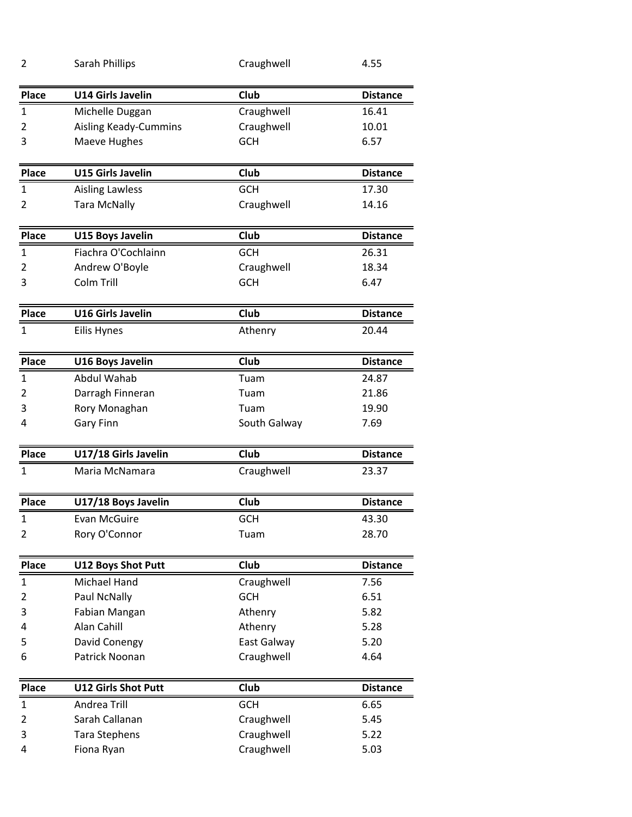| 2            | Sarah Phillips               | Craughwell   | 4.55            |
|--------------|------------------------------|--------------|-----------------|
| <b>Place</b> | <b>U14 Girls Javelin</b>     | <b>Club</b>  | <b>Distance</b> |
| $\mathbf{1}$ | Michelle Duggan              | Craughwell   | 16.41           |
| 2            | <b>Aisling Keady-Cummins</b> | Craughwell   | 10.01           |
| 3            | Maeve Hughes                 | <b>GCH</b>   | 6.57            |
| <b>Place</b> | <b>U15 Girls Javelin</b>     | <b>Club</b>  | <b>Distance</b> |
| $\mathbf{1}$ | <b>Aisling Lawless</b>       | <b>GCH</b>   | 17.30           |
| 2            | <b>Tara McNally</b>          | Craughwell   | 14.16           |
|              |                              |              |                 |
| Place        | <b>U15 Boys Javelin</b>      | <b>Club</b>  | <b>Distance</b> |
| $\mathbf{1}$ | Fiachra O'Cochlainn          | GCH          | 26.31           |
| 2            | Andrew O'Boyle               | Craughwell   | 18.34           |
| 3            | Colm Trill                   | <b>GCH</b>   | 6.47            |
|              |                              |              |                 |
| <b>Place</b> | <b>U16 Girls Javelin</b>     | Club         | <b>Distance</b> |
| $\mathbf{1}$ | Eilis Hynes                  | Athenry      | 20.44           |
|              |                              |              |                 |
| Place        | <b>U16 Boys Javelin</b>      | Club         | <b>Distance</b> |
| $\mathbf{1}$ | <b>Abdul Wahab</b>           | Tuam         | 24.87           |
| 2            | Darragh Finneran             | Tuam         | 21.86           |
| 3            | Rory Monaghan                | Tuam         | 19.90           |
| 4            | Gary Finn                    | South Galway | 7.69            |
| <b>Place</b> | U17/18 Girls Javelin         | <b>Club</b>  | <b>Distance</b> |
| $\mathbf{1}$ | Maria McNamara               | Craughwell   | 23.37           |
|              |                              |              |                 |
| <b>Place</b> | U17/18 Boys Javelin          | Club         | <b>Distance</b> |
| $\mathbf 1$  | Evan McGuire                 | <b>GCH</b>   | 43.30           |
| 2            | Rory O'Connor                | Tuam         | 28.70           |
|              |                              |              |                 |
| <b>Place</b> | <b>U12 Boys Shot Putt</b>    | Club         | <b>Distance</b> |
| $\mathbf{1}$ | Michael Hand                 | Craughwell   | 7.56            |
| 2            | Paul NcNally                 | <b>GCH</b>   | 6.51            |
| 3            | Fabian Mangan                | Athenry      | 5.82            |
| 4            | Alan Cahill                  | Athenry      | 5.28            |
| 5            | David Conengy                | East Galway  | 5.20            |
| 6            | Patrick Noonan               | Craughwell   | 4.64            |
| Place        | <b>U12 Girls Shot Putt</b>   | Club         | <b>Distance</b> |
| $\mathbf{1}$ | Andrea Trill                 | <b>GCH</b>   | 6.65            |
| 2            | Sarah Callanan               | Craughwell   | 5.45            |
| 3            | <b>Tara Stephens</b>         | Craughwell   | 5.22            |
| 4            | Fiona Ryan                   | Craughwell   | 5.03            |
|              |                              |              |                 |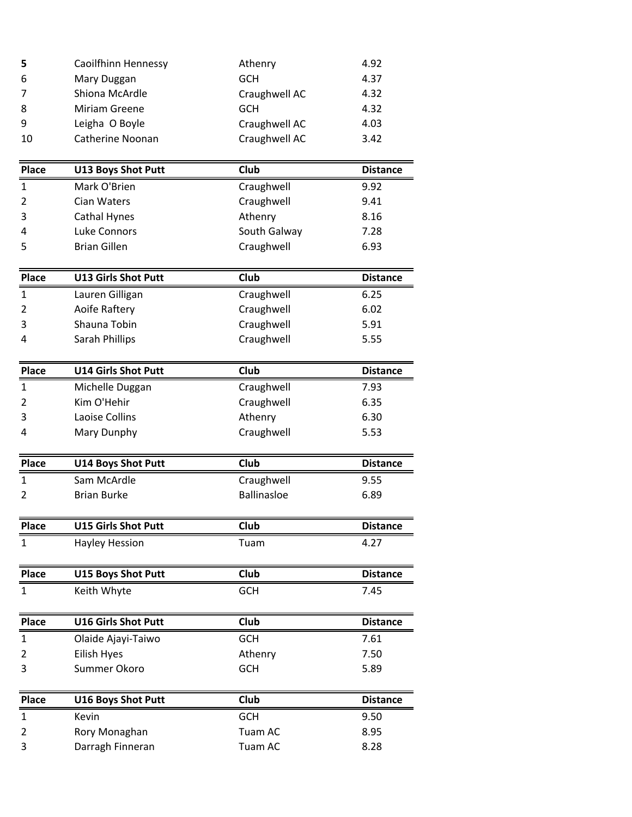| 5  | Caoilfhinn Hennessy | Athenry       | 4.92 |
|----|---------------------|---------------|------|
| 6  | Mary Duggan         | GCH           | 4.37 |
| 7  | Shiona McArdle      | Craughwell AC | 4.32 |
| 8  | Miriam Greene       | GCH           | 4.32 |
| 9  | Leigha O Boyle      | Craughwell AC | 4.03 |
| 10 | Catherine Noonan    | Craughwell AC | 3.42 |

| <b>Place</b>     | <b>U13 Boys Shot Putt</b> | Club         | <b>Distance</b> |
|------------------|---------------------------|--------------|-----------------|
| $\mathbf{1}$     | Mark O'Brien              | Craughwell   | 9.92            |
| $\overline{2}$   | Cian Waters               | Craughwell   | 9.41            |
| 3                | Cathal Hynes              | Athenry      | 8.16            |
| $\boldsymbol{A}$ | Luke Connors              | South Galway | 7.28            |
| 5                | <b>Brian Gillen</b>       | Craughwell   | 6.93            |

| <b>Place</b> | <b>U13 Girls Shot Putt</b> | Club       | <b>Distance</b> |
|--------------|----------------------------|------------|-----------------|
| 1            | Lauren Gilligan            | Craughwell | 6.25            |
| 2            | Aoife Raftery              | Craughwell | 6.02            |
| 3            | Shauna Tobin               | Craughwell | 5.91            |
| 4            | Sarah Phillips             | Craughwell | 5.55            |

| <b>Place</b>   | <b>U14 Girls Shot Putt</b> | Club       | <b>Distance</b> |
|----------------|----------------------------|------------|-----------------|
| $\mathbf{1}$   | Michelle Duggan            | Craughwell | 7.93            |
| 2              | Kim O'Hehir                | Craughwell | 6.35            |
| 3              | Laoise Collins             | Athenry    | 6.30            |
| $\overline{4}$ | Mary Dunphy                | Craughwell | 5.53            |

| <b>Place</b> | <b>U14 Boys Shot Putt</b>  | Club               | <b>Distance</b> |
|--------------|----------------------------|--------------------|-----------------|
| 1            | Sam McArdle                | Craughwell         | 9.55            |
|              | <b>Brian Burke</b>         | <b>Ballinasloe</b> | 6.89            |
|              |                            |                    |                 |
| <b>Place</b> | <b>U15 Girls Shot Putt</b> | Club               | <b>Distance</b> |
| 1            | Hayley Hession             | Tuam               | 4.27            |
|              |                            |                    |                 |
| <b>Place</b> | <b>U15 Boys Shot Putt</b>  | Club               | <b>Distance</b> |
|              | Keith Whyte                | <b>GCH</b>         | 7.45            |

| <b>Place</b> | <b>U16 Girls Shot Putt</b> | Club       | <b>Distance</b> |
|--------------|----------------------------|------------|-----------------|
|              | Olaide Ajayi-Taiwo         | <b>GCH</b> | 7.61            |
|              | Eilish Hyes                | Athenry    | 7.50            |
| 3            | Summer Okoro               | GCH        | 5.89            |

| <b>Place</b> | <b>U16 Boys Shot Putt</b> | Club       | <b>Distance</b> |
|--------------|---------------------------|------------|-----------------|
|              | Kevin                     | <b>GCH</b> | 9.50            |
|              | Rory Monaghan             | Tuam AC    | 8.95            |
|              | Darragh Finneran          | Tuam AC    | 8.28            |